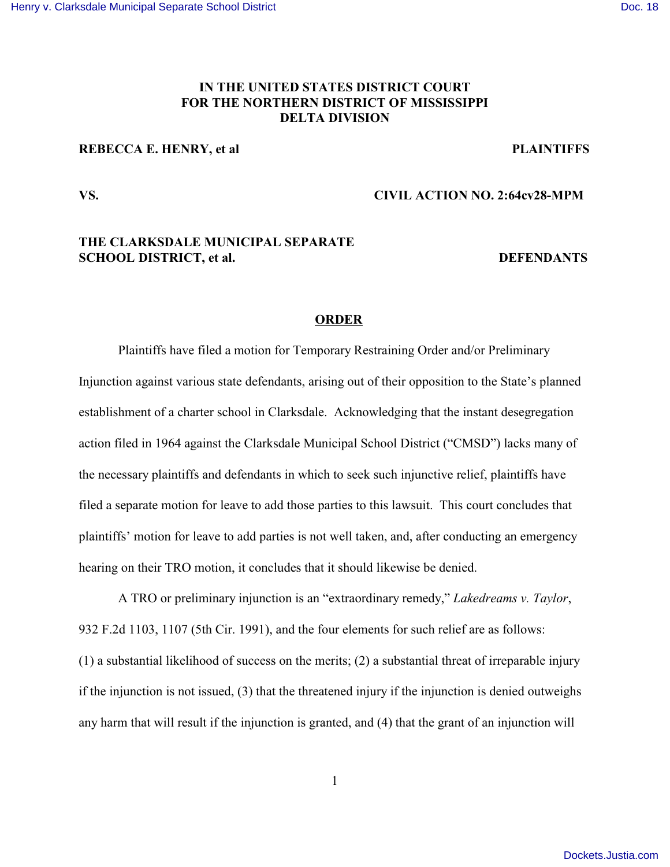# **IN THE UNITED STATES DISTRICT COURT FOR THE NORTHERN DISTRICT OF MISSISSIPPI DELTA DIVISION**

### **REBECCA E. HENRY, et al PLAINTIFFS**

## **VS. CIVIL ACTION NO. 2:64cv28-MPM**

## **THE CLARKSDALE MUNICIPAL SEPARATE SCHOOL DISTRICT, et al.** DEFENDANTS

#### **ORDER**

Plaintiffs have filed a motion for Temporary Restraining Order and/or Preliminary Injunction against various state defendants, arising out of their opposition to the State's planned establishment of a charter school in Clarksdale. Acknowledging that the instant desegregation action filed in 1964 against the Clarksdale Municipal School District ("CMSD") lacks many of the necessary plaintiffs and defendants in which to seek such injunctive relief, plaintiffs have filed a separate motion for leave to add those parties to this lawsuit. This court concludes that plaintiffs' motion for leave to add parties is not well taken, and, after conducting an emergency hearing on their TRO motion, it concludes that it should likewise be denied.

A TRO or preliminary injunction is an "extraordinary remedy," *Lakedreams v. Taylor*, 932 F.2d 1103, 1107 (5th Cir. 1991), and the four elements for such relief are as follows: (1) a substantial likelihood of success on the merits; (2) a substantial threat of irreparable injury if the injunction is not issued, (3) that the threatened injury if the injunction is denied outweighs any harm that will result if the injunction is granted, and (4) that the grant of an injunction will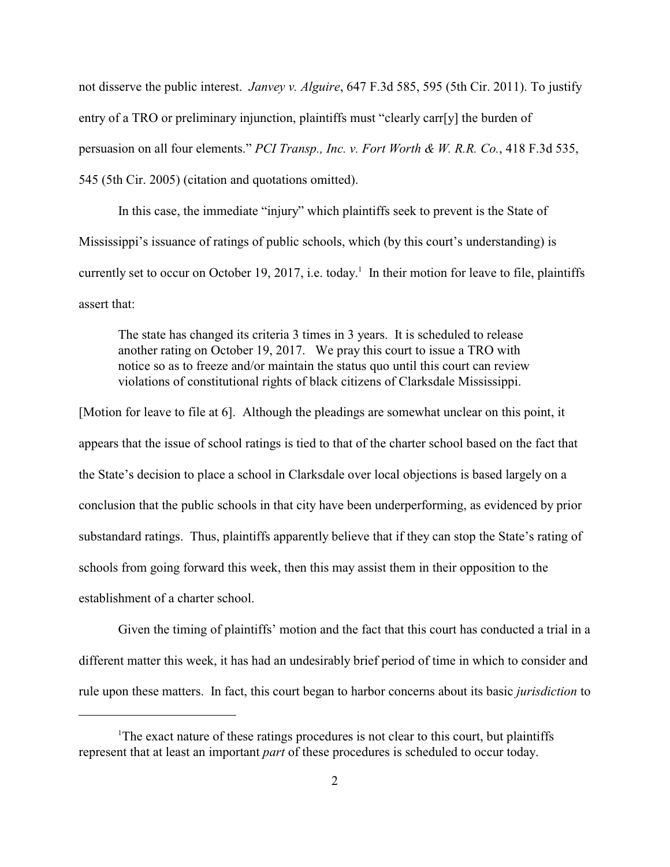not disserve the public interest. *Janvey v. Alguire*, 647 F.3d 585, 595 (5th Cir. 2011). To justify entry of a TRO or preliminary injunction, plaintiffs must "clearly carr[y] the burden of persuasion on all four elements." *PCI Transp., Inc. v. Fort Worth & W. R.R. Co.*, 418 F.3d 535, 545 (5th Cir. 2005) (citation and quotations omitted).

In this case, the immediate "injury" which plaintiffs seek to prevent is the State of Mississippi's issuance of ratings of public schools, which (by this court's understanding) is currently set to occur on October 19, 2017, i.e. today.<sup>1</sup> In their motion for leave to file, plaintiffs assert that:

The state has changed its criteria 3 times in 3 years. It is scheduled to release another rating on October 19, 2017. We pray this court to issue a TRO with notice so as to freeze and/or maintain the status quo until this court can review violations of constitutional rights of black citizens of Clarksdale Mississippi.

[Motion for leave to file at 6]. Although the pleadings are somewhat unclear on this point, it appears that the issue of school ratings is tied to that of the charter school based on the fact that the State's decision to place a school in Clarksdale over local objections is based largely on a conclusion that the public schools in that city have been underperforming, as evidenced by prior substandard ratings. Thus, plaintiffs apparently believe that if they can stop the State's rating of schools from going forward this week, then this may assist them in their opposition to the establishment of a charter school.

Given the timing of plaintiffs' motion and the fact that this court has conducted a trial in a different matter this week, it has had an undesirably brief period of time in which to consider and rule upon these matters. In fact, this court began to harbor concerns about its basic *jurisdiction* to

<sup>&</sup>lt;sup>1</sup>The exact nature of these ratings procedures is not clear to this court, but plaintiffs represent that at least an important *part* of these procedures is scheduled to occur today.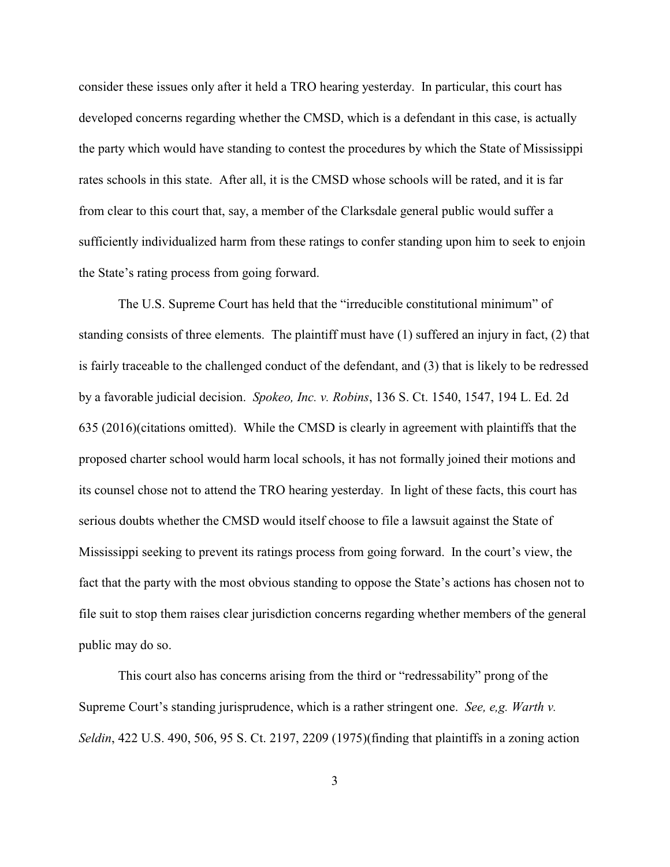consider these issues only after it held a TRO hearing yesterday. In particular, this court has developed concerns regarding whether the CMSD, which is a defendant in this case, is actually the party which would have standing to contest the procedures by which the State of Mississippi rates schools in this state. After all, it is the CMSD whose schools will be rated, and it is far from clear to this court that, say, a member of the Clarksdale general public would suffer a sufficiently individualized harm from these ratings to confer standing upon him to seek to enjoin the State's rating process from going forward.

The U.S. Supreme Court has held that the "irreducible constitutional minimum" of standing consists of three elements. The plaintiff must have (1) suffered an injury in fact, (2) that is fairly traceable to the challenged conduct of the defendant, and (3) that is likely to be redressed by a favorable judicial decision. *Spokeo, Inc. v. Robins*, 136 S. Ct. 1540, 1547, 194 L. Ed. 2d 635 (2016)(citations omitted). While the CMSD is clearly in agreement with plaintiffs that the proposed charter school would harm local schools, it has not formally joined their motions and its counsel chose not to attend the TRO hearing yesterday. In light of these facts, this court has serious doubts whether the CMSD would itself choose to file a lawsuit against the State of Mississippi seeking to prevent its ratings process from going forward. In the court's view, the fact that the party with the most obvious standing to oppose the State's actions has chosen not to file suit to stop them raises clear jurisdiction concerns regarding whether members of the general public may do so.

This court also has concerns arising from the third or "redressability" prong of the Supreme Court's standing jurisprudence, which is a rather stringent one. *See, e,g. Warth v. Seldin*, 422 U.S. 490, 506, 95 S. Ct. 2197, 2209 (1975)(finding that plaintiffs in a zoning action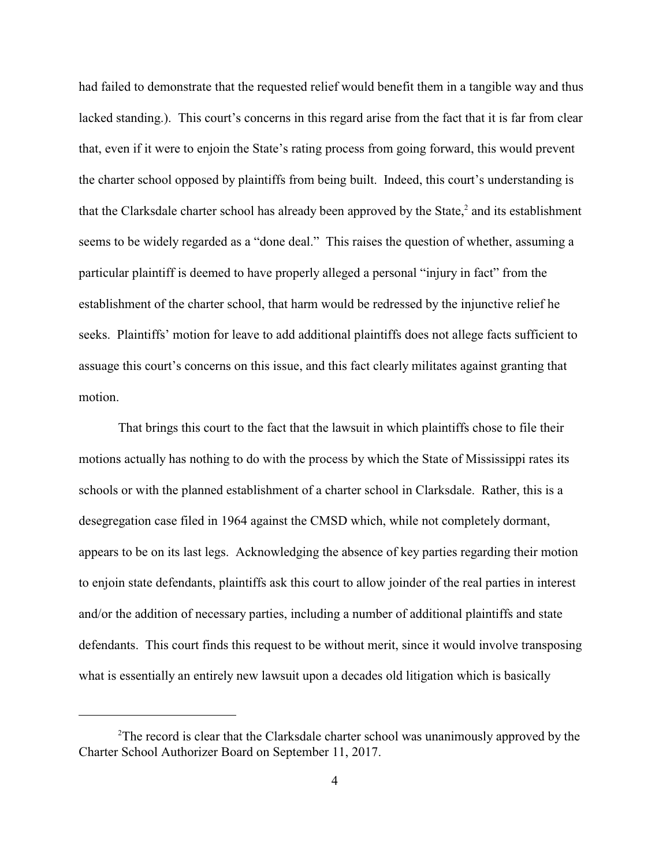had failed to demonstrate that the requested relief would benefit them in a tangible way and thus lacked standing.). This court's concerns in this regard arise from the fact that it is far from clear that, even if it were to enjoin the State's rating process from going forward, this would prevent the charter school opposed by plaintiffs from being built. Indeed, this court's understanding is that the Clarksdale charter school has already been approved by the State, $2$  and its establishment seems to be widely regarded as a "done deal." This raises the question of whether, assuming a particular plaintiff is deemed to have properly alleged a personal "injury in fact" from the establishment of the charter school, that harm would be redressed by the injunctive relief he seeks. Plaintiffs' motion for leave to add additional plaintiffs does not allege facts sufficient to assuage this court's concerns on this issue, and this fact clearly militates against granting that motion.

That brings this court to the fact that the lawsuit in which plaintiffs chose to file their motions actually has nothing to do with the process by which the State of Mississippi rates its schools or with the planned establishment of a charter school in Clarksdale. Rather, this is a desegregation case filed in 1964 against the CMSD which, while not completely dormant, appears to be on its last legs. Acknowledging the absence of key parties regarding their motion to enjoin state defendants, plaintiffs ask this court to allow joinder of the real parties in interest and/or the addition of necessary parties, including a number of additional plaintiffs and state defendants. This court finds this request to be without merit, since it would involve transposing what is essentially an entirely new lawsuit upon a decades old litigation which is basically

 $2$ The record is clear that the Clarksdale charter school was unanimously approved by the Charter School Authorizer Board on September 11, 2017.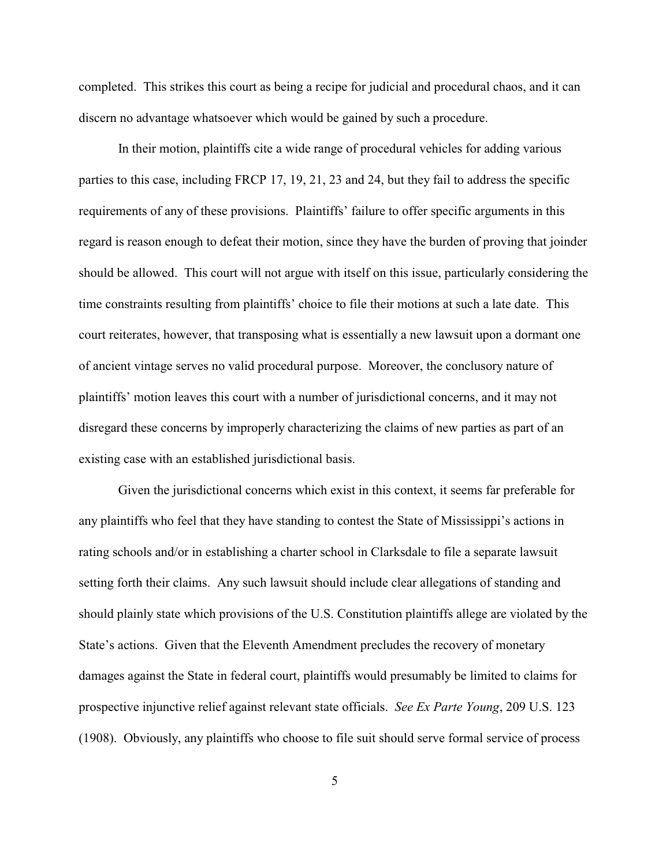completed. This strikes this court as being a recipe for judicial and procedural chaos, and it can discern no advantage whatsoever which would be gained by such a procedure.

In their motion, plaintiffs cite a wide range of procedural vehicles for adding various parties to this case, including FRCP 17, 19, 21, 23 and 24, but they fail to address the specific requirements of any of these provisions. Plaintiffs' failure to offer specific arguments in this regard is reason enough to defeat their motion, since they have the burden of proving that joinder should be allowed. This court will not argue with itself on this issue, particularly considering the time constraints resulting from plaintiffs' choice to file their motions at such a late date. This court reiterates, however, that transposing what is essentially a new lawsuit upon a dormant one of ancient vintage serves no valid procedural purpose. Moreover, the conclusory nature of plaintiffs' motion leaves this court with a number of jurisdictional concerns, and it may not disregard these concerns by improperly characterizing the claims of new parties as part of an existing case with an established jurisdictional basis.

Given the jurisdictional concerns which exist in this context, it seems far preferable for any plaintiffs who feel that they have standing to contest the State of Mississippi's actions in rating schools and/or in establishing a charter school in Clarksdale to file a separate lawsuit setting forth their claims. Any such lawsuit should include clear allegations of standing and should plainly state which provisions of the U.S. Constitution plaintiffs allege are violated by the State's actions. Given that the Eleventh Amendment precludes the recovery of monetary damages against the State in federal court, plaintiffs would presumably be limited to claims for prospective injunctive relief against relevant state officials. *See Ex Parte Young*, 209 U.S. 123 (1908). Obviously, any plaintiffs who choose to file suit should serve formal service of process

5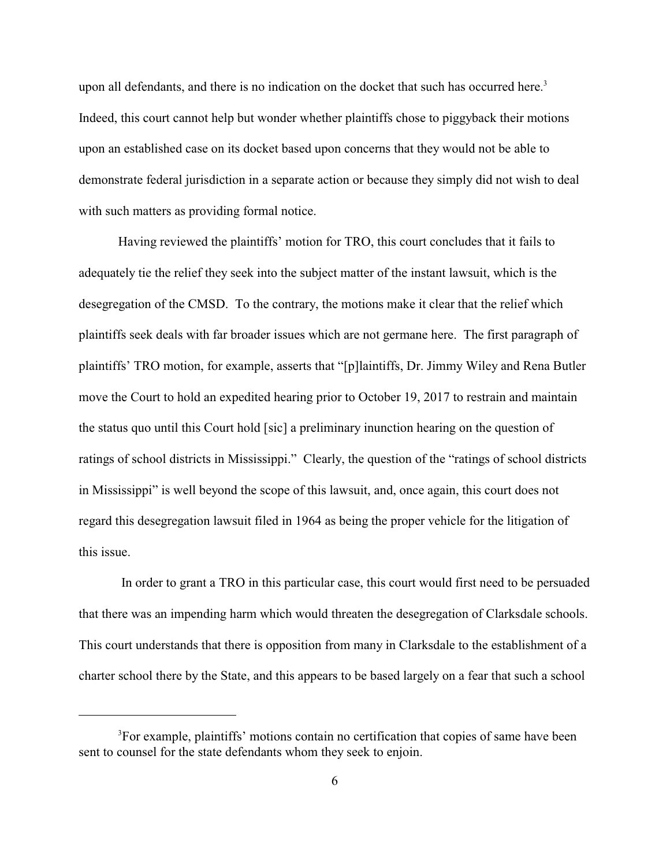upon all defendants, and there is no indication on the docket that such has occurred here.<sup>3</sup> Indeed, this court cannot help but wonder whether plaintiffs chose to piggyback their motions upon an established case on its docket based upon concerns that they would not be able to demonstrate federal jurisdiction in a separate action or because they simply did not wish to deal with such matters as providing formal notice.

Having reviewed the plaintiffs' motion for TRO, this court concludes that it fails to adequately tie the relief they seek into the subject matter of the instant lawsuit, which is the desegregation of the CMSD. To the contrary, the motions make it clear that the relief which plaintiffs seek deals with far broader issues which are not germane here. The first paragraph of plaintiffs' TRO motion, for example, asserts that "[p]laintiffs, Dr. Jimmy Wiley and Rena Butler move the Court to hold an expedited hearing prior to October 19, 2017 to restrain and maintain the status quo until this Court hold [sic] a preliminary inunction hearing on the question of ratings of school districts in Mississippi." Clearly, the question of the "ratings of school districts in Mississippi" is well beyond the scope of this lawsuit, and, once again, this court does not regard this desegregation lawsuit filed in 1964 as being the proper vehicle for the litigation of this issue.

 In order to grant a TRO in this particular case, this court would first need to be persuaded that there was an impending harm which would threaten the desegregation of Clarksdale schools. This court understands that there is opposition from many in Clarksdale to the establishment of a charter school there by the State, and this appears to be based largely on a fear that such a school

<sup>&</sup>lt;sup>3</sup>For example, plaintiffs' motions contain no certification that copies of same have been sent to counsel for the state defendants whom they seek to enjoin.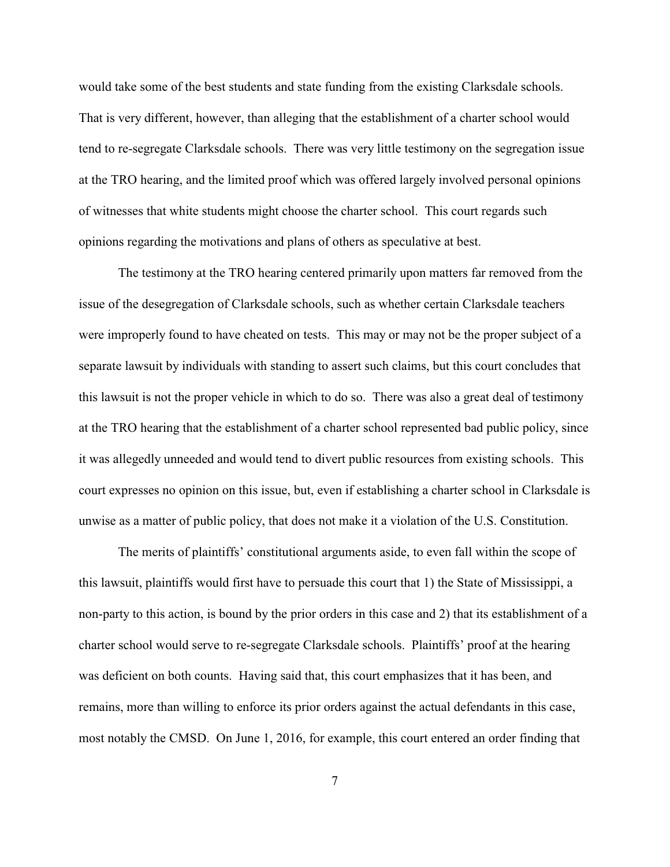would take some of the best students and state funding from the existing Clarksdale schools. That is very different, however, than alleging that the establishment of a charter school would tend to re-segregate Clarksdale schools. There was very little testimony on the segregation issue at the TRO hearing, and the limited proof which was offered largely involved personal opinions of witnesses that white students might choose the charter school. This court regards such opinions regarding the motivations and plans of others as speculative at best.

The testimony at the TRO hearing centered primarily upon matters far removed from the issue of the desegregation of Clarksdale schools, such as whether certain Clarksdale teachers were improperly found to have cheated on tests. This may or may not be the proper subject of a separate lawsuit by individuals with standing to assert such claims, but this court concludes that this lawsuit is not the proper vehicle in which to do so. There was also a great deal of testimony at the TRO hearing that the establishment of a charter school represented bad public policy, since it was allegedly unneeded and would tend to divert public resources from existing schools. This court expresses no opinion on this issue, but, even if establishing a charter school in Clarksdale is unwise as a matter of public policy, that does not make it a violation of the U.S. Constitution.

The merits of plaintiffs' constitutional arguments aside, to even fall within the scope of this lawsuit, plaintiffs would first have to persuade this court that 1) the State of Mississippi, a non-party to this action, is bound by the prior orders in this case and 2) that its establishment of a charter school would serve to re-segregate Clarksdale schools. Plaintiffs' proof at the hearing was deficient on both counts. Having said that, this court emphasizes that it has been, and remains, more than willing to enforce its prior orders against the actual defendants in this case, most notably the CMSD. On June 1, 2016, for example, this court entered an order finding that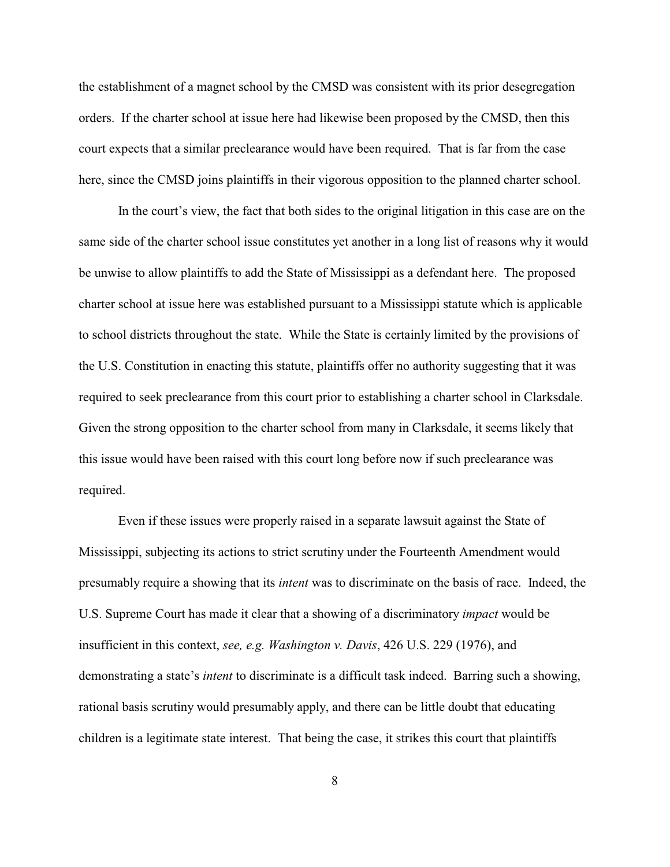the establishment of a magnet school by the CMSD was consistent with its prior desegregation orders. If the charter school at issue here had likewise been proposed by the CMSD, then this court expects that a similar preclearance would have been required. That is far from the case here, since the CMSD joins plaintiffs in their vigorous opposition to the planned charter school.

In the court's view, the fact that both sides to the original litigation in this case are on the same side of the charter school issue constitutes yet another in a long list of reasons why it would be unwise to allow plaintiffs to add the State of Mississippi as a defendant here. The proposed charter school at issue here was established pursuant to a Mississippi statute which is applicable to school districts throughout the state. While the State is certainly limited by the provisions of the U.S. Constitution in enacting this statute, plaintiffs offer no authority suggesting that it was required to seek preclearance from this court prior to establishing a charter school in Clarksdale. Given the strong opposition to the charter school from many in Clarksdale, it seems likely that this issue would have been raised with this court long before now if such preclearance was required.

Even if these issues were properly raised in a separate lawsuit against the State of Mississippi, subjecting its actions to strict scrutiny under the Fourteenth Amendment would presumably require a showing that its *intent* was to discriminate on the basis of race. Indeed, the U.S. Supreme Court has made it clear that a showing of a discriminatory *impact* would be insufficient in this context, *see, e.g. Washington v. Davis*, 426 U.S. 229 (1976), and demonstrating a state's *intent* to discriminate is a difficult task indeed. Barring such a showing, rational basis scrutiny would presumably apply, and there can be little doubt that educating children is a legitimate state interest. That being the case, it strikes this court that plaintiffs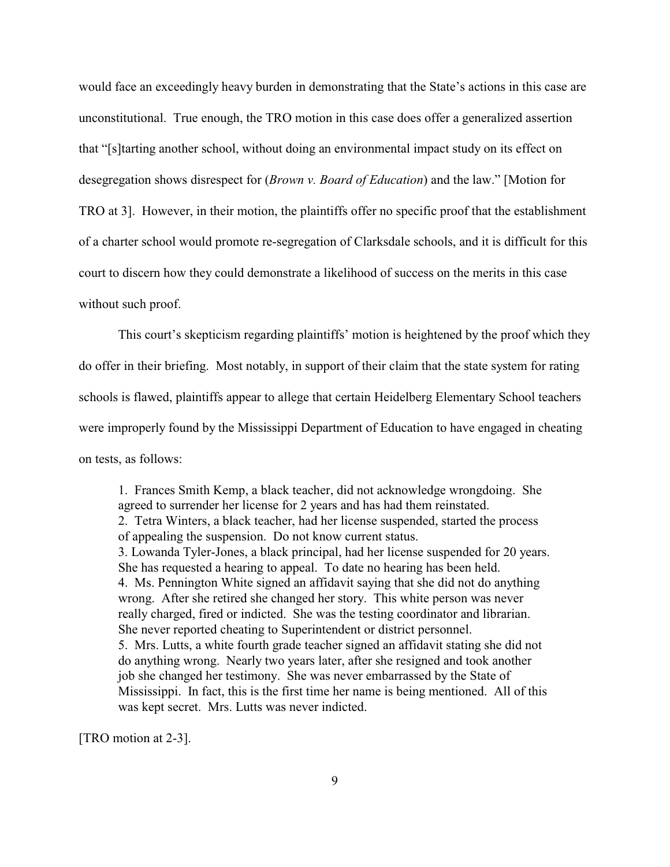would face an exceedingly heavy burden in demonstrating that the State's actions in this case are unconstitutional. True enough, the TRO motion in this case does offer a generalized assertion that "[s]tarting another school, without doing an environmental impact study on its effect on desegregation shows disrespect for (*Brown v. Board of Education*) and the law." [Motion for TRO at 3]. However, in their motion, the plaintiffs offer no specific proof that the establishment of a charter school would promote re-segregation of Clarksdale schools, and it is difficult for this court to discern how they could demonstrate a likelihood of success on the merits in this case without such proof.

This court's skepticism regarding plaintiffs' motion is heightened by the proof which they do offer in their briefing. Most notably, in support of their claim that the state system for rating schools is flawed, plaintiffs appear to allege that certain Heidelberg Elementary School teachers were improperly found by the Mississippi Department of Education to have engaged in cheating on tests, as follows:

1. Frances Smith Kemp, a black teacher, did not acknowledge wrongdoing. She agreed to surrender her license for 2 years and has had them reinstated. 2. Tetra Winters, a black teacher, had her license suspended, started the process of appealing the suspension. Do not know current status. 3. Lowanda Tyler-Jones, a black principal, had her license suspended for 20 years. She has requested a hearing to appeal. To date no hearing has been held. 4. Ms. Pennington White signed an affidavit saying that she did not do anything wrong. After she retired she changed her story. This white person was never really charged, fired or indicted. She was the testing coordinator and librarian. She never reported cheating to Superintendent or district personnel. 5. Mrs. Lutts, a white fourth grade teacher signed an affidavit stating she did not do anything wrong. Nearly two years later, after she resigned and took another job she changed her testimony. She was never embarrassed by the State of Mississippi. In fact, this is the first time her name is being mentioned. All of this was kept secret. Mrs. Lutts was never indicted.

[TRO motion at 2-3].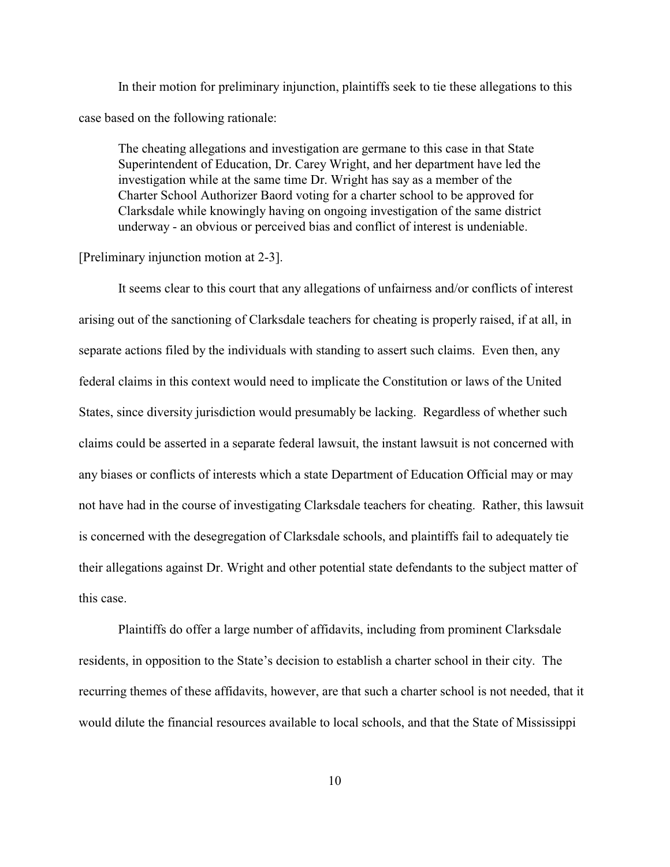In their motion for preliminary injunction, plaintiffs seek to tie these allegations to this case based on the following rationale:

The cheating allegations and investigation are germane to this case in that State Superintendent of Education, Dr. Carey Wright, and her department have led the investigation while at the same time Dr. Wright has say as a member of the Charter School Authorizer Baord voting for a charter school to be approved for Clarksdale while knowingly having on ongoing investigation of the same district underway - an obvious or perceived bias and conflict of interest is undeniable.

#### [Preliminary injunction motion at 2-3].

It seems clear to this court that any allegations of unfairness and/or conflicts of interest arising out of the sanctioning of Clarksdale teachers for cheating is properly raised, if at all, in separate actions filed by the individuals with standing to assert such claims. Even then, any federal claims in this context would need to implicate the Constitution or laws of the United States, since diversity jurisdiction would presumably be lacking. Regardless of whether such claims could be asserted in a separate federal lawsuit, the instant lawsuit is not concerned with any biases or conflicts of interests which a state Department of Education Official may or may not have had in the course of investigating Clarksdale teachers for cheating. Rather, this lawsuit is concerned with the desegregation of Clarksdale schools, and plaintiffs fail to adequately tie their allegations against Dr. Wright and other potential state defendants to the subject matter of this case.

Plaintiffs do offer a large number of affidavits, including from prominent Clarksdale residents, in opposition to the State's decision to establish a charter school in their city. The recurring themes of these affidavits, however, are that such a charter school is not needed, that it would dilute the financial resources available to local schools, and that the State of Mississippi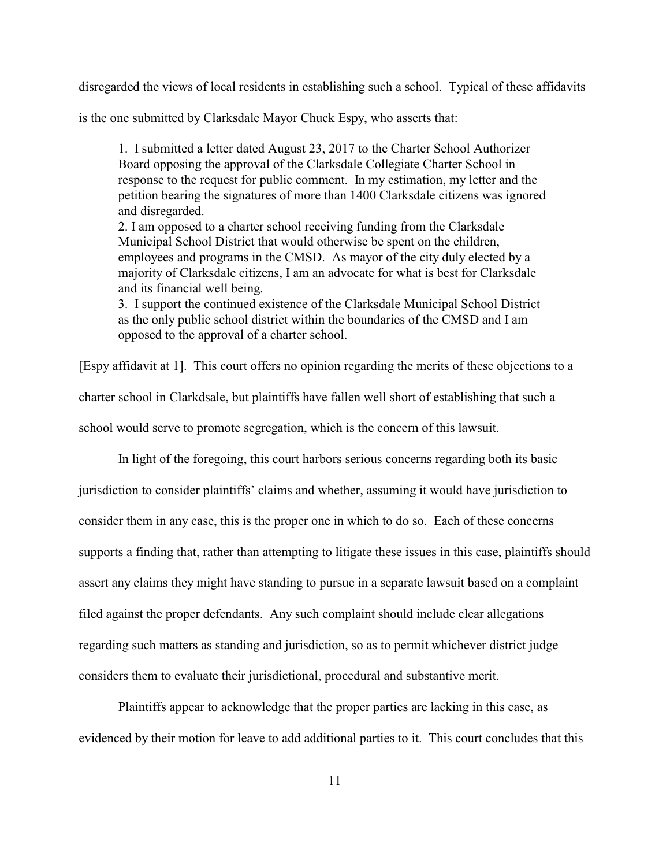disregarded the views of local residents in establishing such a school. Typical of these affidavits

is the one submitted by Clarksdale Mayor Chuck Espy, who asserts that:

1. I submitted a letter dated August 23, 2017 to the Charter School Authorizer Board opposing the approval of the Clarksdale Collegiate Charter School in response to the request for public comment. In my estimation, my letter and the petition bearing the signatures of more than 1400 Clarksdale citizens was ignored and disregarded.

2. I am opposed to a charter school receiving funding from the Clarksdale Municipal School District that would otherwise be spent on the children, employees and programs in the CMSD. As mayor of the city duly elected by a majority of Clarksdale citizens, I am an advocate for what is best for Clarksdale and its financial well being.

3. I support the continued existence of the Clarksdale Municipal School District as the only public school district within the boundaries of the CMSD and I am opposed to the approval of a charter school.

[Espy affidavit at 1]. This court offers no opinion regarding the merits of these objections to a charter school in Clarkdsale, but plaintiffs have fallen well short of establishing that such a school would serve to promote segregation, which is the concern of this lawsuit.

In light of the foregoing, this court harbors serious concerns regarding both its basic jurisdiction to consider plaintiffs' claims and whether, assuming it would have jurisdiction to consider them in any case, this is the proper one in which to do so. Each of these concerns supports a finding that, rather than attempting to litigate these issues in this case, plaintiffs should assert any claims they might have standing to pursue in a separate lawsuit based on a complaint filed against the proper defendants. Any such complaint should include clear allegations regarding such matters as standing and jurisdiction, so as to permit whichever district judge considers them to evaluate their jurisdictional, procedural and substantive merit.

Plaintiffs appear to acknowledge that the proper parties are lacking in this case, as evidenced by their motion for leave to add additional parties to it. This court concludes that this